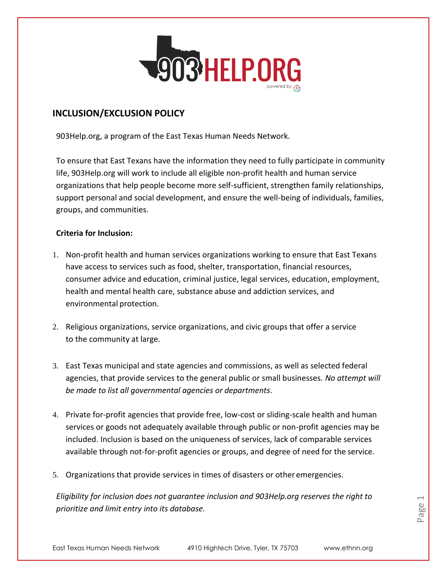

# **INCLUSION/EXCLUSION POLICY**

903Help.org, a program of the East Texas Human Needs Network.

To ensure that East Texans have the information they need to fully participate in community life, 903Help.org will work to include all eligible non-profit health and human service organizations that help people become more self-sufficient, strengthen family relationships, support personal and social development, and ensure the well-being of individuals, families, groups, and communities.

## **Criteria for Inclusion:**

- 1. Non-profit health and human services organizations working to ensure that East Texans have access to services such as food, shelter, transportation, financial resources, consumer advice and education, criminal justice, legal services, education, employment, health and mental health care, substance abuse and addiction services, and environmental protection.
- 2. Religious organizations, service organizations, and civic groups that offer a service to the community at large.
- 3. East Texas municipal and state agencies and commissions, as well as selected federal agencies, that provide services to the general public or small businesses. *No attempt will be made to list all governmental agencies or departments*.
- 4. Private for-profit agencies that provide free, low-cost or sliding-scale health and human services or goods not adequately available through public or non-profit agencies may be included. Inclusion is based on the uniqueness of services, lack of comparable services available through not-for-profit agencies or groups, and degree of need for the service.
- 5. Organizations that provide services in times of disasters or other emergencies.

*Eligibility for inclusion does not guarantee inclusion and 903Help.org reserves the right to prioritize and limit entry into its database.*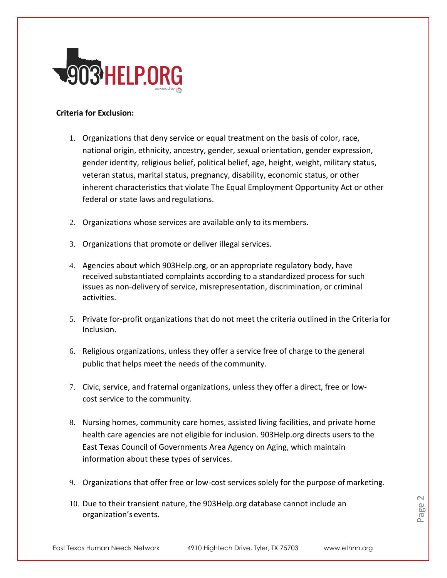

## **Criteria for Exclusion:**

- 1. Organizations that deny service or equal treatment on the basis of color, race, national origin, ethnicity, ancestry, gender, sexual orientation, gender expression, gender identity, religious belief, political belief, age, height, weight, military status, veteran status, marital status, pregnancy, disability, economic status, or other inherent characteristics that violate The Equal Employment Opportunity Act or other federal or state laws and regulations.
- 2. Organizations whose services are available only to its members.
- 3. Organizations that promote or deliver illegal services.
- 4. Agencies about which 903Help.org, or an appropriate regulatory body, have received substantiated complaints according to a standardized process for such issues as non-deliveryof service, misrepresentation, discrimination, or criminal activities.
- 5. Private for-profit organizations that do not meet the criteria outlined in the Criteria for Inclusion.
- 6. Religious organizations, unless they offer a service free of charge to the general public that helps meet the needs of the community.
- 7. Civic, service, and fraternal organizations, unless they offer a direct, free or lowcost service to the community.
- 8. Nursing homes, community care homes, assisted living facilities, and private home health care agencies are not eligible for inclusion. 903Help.org directs users to the East Texas Council of Governments Area Agency on Aging, which maintain information about these types of services.
- 9. Organizations that offer free or low-cost services solely for the purpose ofmarketing.
- 10. Due to their transient nature, the 903Help.org database cannot include an organization's events.